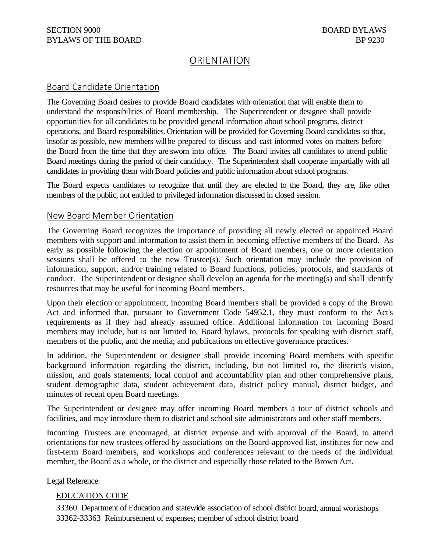# ORIENTATION

## Board Candidate Orientation

The Governing Board desires to provide Board candidates with orientation that will enable them to understand the responsibilities of Board membership. The Superintendent or designee shall provide opportunities for all candidates to be provided general information about school programs, district operations, and Board responsibilities. Orientation will be provided for Governing Board candidates so that, insofar as possible, new members will be prepared to discuss and cast informed votes on matters before the Board from the time that they are sworn into office. The Board invites all candidates to attend public Board meetings during the period of their candidacy. The Superintendent shall cooperate impartially with all candidates in providing them with Board policies and public information about school programs.

The Board expects candidates to recognize that until they are elected to the Board, they are, like other members of the public, not entitled to privileged information discussed in closed session.

### New Board Member Orientation

The Governing Board recognizes the importance of providing all newly elected or appointed Board members with support and information to assist them in becoming effective members of the Board. As early as possible following the election or appointment of Board members, one or more orientation sessions shall be offered to the new Trustee(s). Such orientation may include the provision of information, support, and/or training related to Board functions, policies, protocols, and standards of conduct. The Superintendent or designee shall develop an agenda for the meeting(s) and shall identify resources that may be useful for incoming Board members.

Upon their election or appointment, incoming Board members shall be provided a copy of the Brown Act and informed that, pursuant to Government Code 54952.1, they must conform to the Act's requirements as if they had already assumed office. Additional information for incoming Board members may include, but is not limited to, Board bylaws, protocols for speaking with district staff, members of the public, and the media; and publications on effective governance practices.

In addition, the Superintendent or designee shall provide incoming Board members with specific background information regarding the district, including, but not limited to, the district's vision, mission, and goals statements, local control and accountability plan and other comprehensive plans, student demographic data, student achievement data, district policy manual, district budget, and minutes of recent open Board meetings.

The Superintendent or designee may offer incoming Board members a tour of district schools and facilities, and may introduce them to district and school site administrators and other staff members.

Incoming Trustees are encouraged, at district expense and with approval of the Board, to attend orientations for new trustees offered by associations on the Board-approved list, institutes for new and first-term Board members, and workshops and conferences relevant to the needs of the individual member, the Board as a whole, or the district and especially those related to the Brown Act.

#### Legal Reference:

#### EDUCATION CODE

33360 Department of Education and statewide association of school district board, annual workshops 33362-33363 Reimbursement of expenses; member of school district board